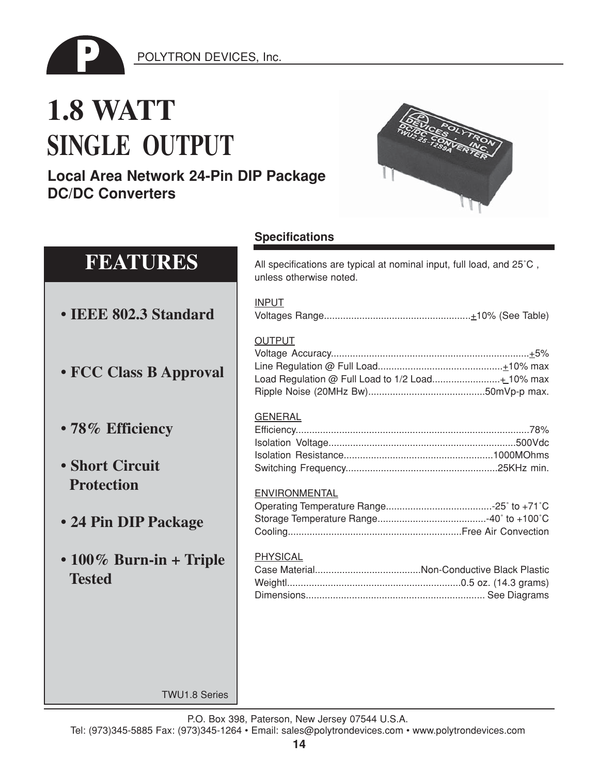

## **1.8 WATT SINGLE OUTPUT**

## **Local Area Network 24-Pin DIP Package DC/DC Converters**



| <b>FEATURES</b>                                | All specifications are typical at nominal input, full load, and 25°C,<br>unless otherwise noted. |
|------------------------------------------------|--------------------------------------------------------------------------------------------------|
| • IEEE 802.3 Standard                          | <b>INPUT</b>                                                                                     |
| • FCC Class B Approval                         | <b>OUTPUT</b>                                                                                    |
| • 78% Efficiency                               | <b>GENERAL</b>                                                                                   |
| • Short Circuit                                |                                                                                                  |
| <b>Protection</b><br>• 24 Pin DIP Package      | <b>ENVIRONMENTAL</b>                                                                             |
| $\cdot$ 100% Burn-in + Triple<br><b>Tested</b> | PHYSICAL                                                                                         |
|                                                |                                                                                                  |
| <b>TWU1.8 Series</b>                           |                                                                                                  |

**Specifications**

P.O. Box 398, Paterson, New Jersey 07544 U.S.A.

Tel: (973)345-5885 Fax: (973)345-1264 • Email: sales@polytrondevices.com • www.polytrondevices.com